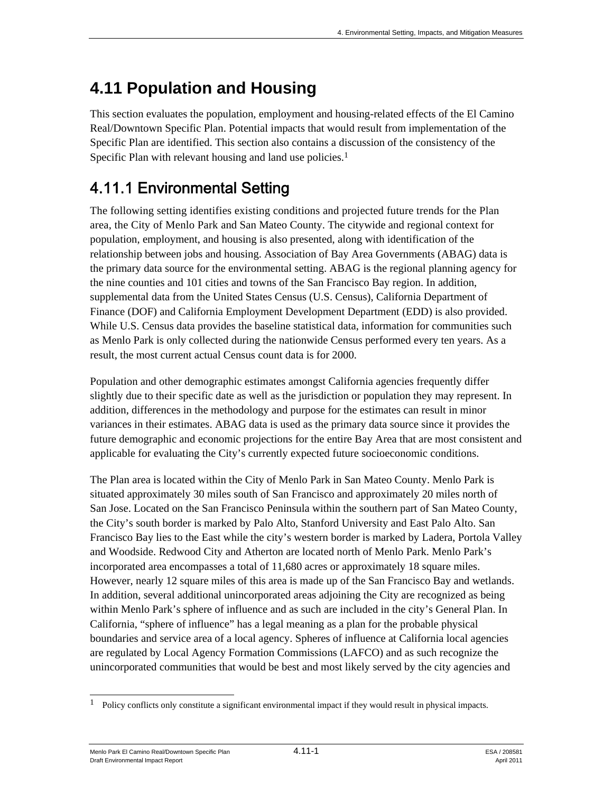This section evaluates the population, employment and housing-related effects of the El Camino Real/Downtown Specific Plan. Potential impacts that would result from implementation of the Specific Plan are identified. This section also contains a discussion of the consistency of the Specific Plan with relevant housing and land use policies.<sup>1</sup>

# 4.11.1 Environmental Setting

The following setting identifies existing conditions and projected future trends for the Plan area, the City of Menlo Park and San Mateo County. The citywide and regional context for population, employment, and housing is also presented, along with identification of the relationship between jobs and housing. Association of Bay Area Governments (ABAG) data is the primary data source for the environmental setting. ABAG is the regional planning agency for the nine counties and 101 cities and towns of the San Francisco Bay region. In addition, supplemental data from the United States Census (U.S. Census), California Department of Finance (DOF) and California Employment Development Department (EDD) is also provided. While U.S. Census data provides the baseline statistical data, information for communities such as Menlo Park is only collected during the nationwide Census performed every ten years. As a result, the most current actual Census count data is for 2000.

Population and other demographic estimates amongst California agencies frequently differ slightly due to their specific date as well as the jurisdiction or population they may represent. In addition, differences in the methodology and purpose for the estimates can result in minor variances in their estimates. ABAG data is used as the primary data source since it provides the future demographic and economic projections for the entire Bay Area that are most consistent and applicable for evaluating the City's currently expected future socioeconomic conditions.

The Plan area is located within the City of Menlo Park in San Mateo County. Menlo Park is situated approximately 30 miles south of San Francisco and approximately 20 miles north of San Jose. Located on the San Francisco Peninsula within the southern part of San Mateo County, the City's south border is marked by Palo Alto, Stanford University and East Palo Alto. San Francisco Bay lies to the East while the city's western border is marked by Ladera, Portola Valley and Woodside. Redwood City and Atherton are located north of Menlo Park. Menlo Park's incorporated area encompasses a total of 11,680 acres or approximately 18 square miles. However, nearly 12 square miles of this area is made up of the San Francisco Bay and wetlands. In addition, several additional unincorporated areas adjoining the City are recognized as being within Menlo Park's sphere of influence and as such are included in the city's General Plan. In California, "sphere of influence" has a legal meaning as a plan for the probable physical boundaries and service area of a local agency. Spheres of influence at California local agencies are regulated by Local Agency Formation Commissions (LAFCO) and as such recognize the unincorporated communities that would be best and most likely served by the city agencies and

Menlo Park El Camino Real/Downtown Specific Plan 4.11-1 4.11-1 ESA / 208581 Draft Environmental Impact Report April 2011

 $\mathbf{1}$ 1 Policy conflicts only constitute a significant environmental impact if they would result in physical impacts.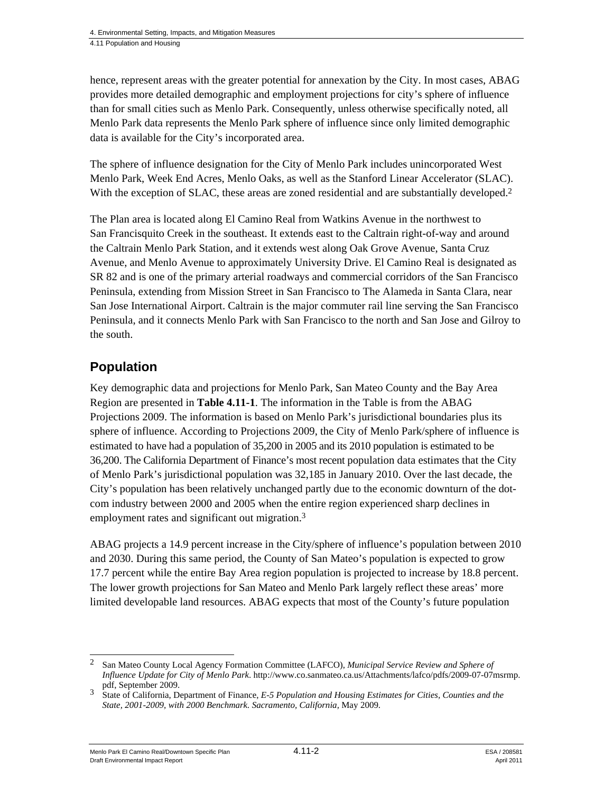hence, represent areas with the greater potential for annexation by the City. In most cases, ABAG provides more detailed demographic and employment projections for city's sphere of influence than for small cities such as Menlo Park. Consequently, unless otherwise specifically noted, all Menlo Park data represents the Menlo Park sphere of influence since only limited demographic data is available for the City's incorporated area.

The sphere of influence designation for the City of Menlo Park includes unincorporated West Menlo Park, Week End Acres, Menlo Oaks, as well as the Stanford Linear Accelerator (SLAC). With the exception of SLAC, these areas are zoned residential and are substantially developed.<sup>2</sup>

The Plan area is located along El Camino Real from Watkins Avenue in the northwest to San Francisquito Creek in the southeast. It extends east to the Caltrain right-of-way and around the Caltrain Menlo Park Station, and it extends west along Oak Grove Avenue, Santa Cruz Avenue, and Menlo Avenue to approximately University Drive. El Camino Real is designated as SR 82 and is one of the primary arterial roadways and commercial corridors of the San Francisco Peninsula, extending from Mission Street in San Francisco to The Alameda in Santa Clara, near San Jose International Airport. Caltrain is the major commuter rail line serving the San Francisco Peninsula, and it connects Menlo Park with San Francisco to the north and San Jose and Gilroy to the south.

# **Population**

Key demographic data and projections for Menlo Park, San Mateo County and the Bay Area Region are presented in **Table 4.11-1**. The information in the Table is from the ABAG Projections 2009. The information is based on Menlo Park's jurisdictional boundaries plus its sphere of influence. According to Projections 2009, the City of Menlo Park/sphere of influence is estimated to have had a population of 35,200 in 2005 and its 2010 population is estimated to be 36,200. The California Department of Finance's most recent population data estimates that the City of Menlo Park's jurisdictional population was 32,185 in January 2010. Over the last decade, the City's population has been relatively unchanged partly due to the economic downturn of the dotcom industry between 2000 and 2005 when the entire region experienced sharp declines in employment rates and significant out migration.<sup>3</sup>

ABAG projects a 14.9 percent increase in the City/sphere of influence's population between 2010 and 2030. During this same period, the County of San Mateo's population is expected to grow 17.7 percent while the entire Bay Area region population is projected to increase by 18.8 percent. The lower growth projections for San Mateo and Menlo Park largely reflect these areas' more limited developable land resources. ABAG expects that most of the County's future population

Menlo Park El Camino Real/Downtown Specific Plan 4.11-2 Allen 4.11-2 ESA / 208581 Draft Environmental Impact Report April 2011

1

<sup>2</sup> San Mateo County Local Agency Formation Committee (LAFCO), *Municipal Service Review and Sphere of Influence Update for City of Menlo Park*. http://www.co.sanmateo.ca.us/Attachments/lafco/pdfs/2009-07-07msrmp.

<sup>&</sup>lt;sup>3</sup> State of California, Department of Finance, *E-5 Population and Housing Estimates for Cities, Counties and the State, 2001-2009, with 2000 Benchmark. Sacramento, California,* May 2009.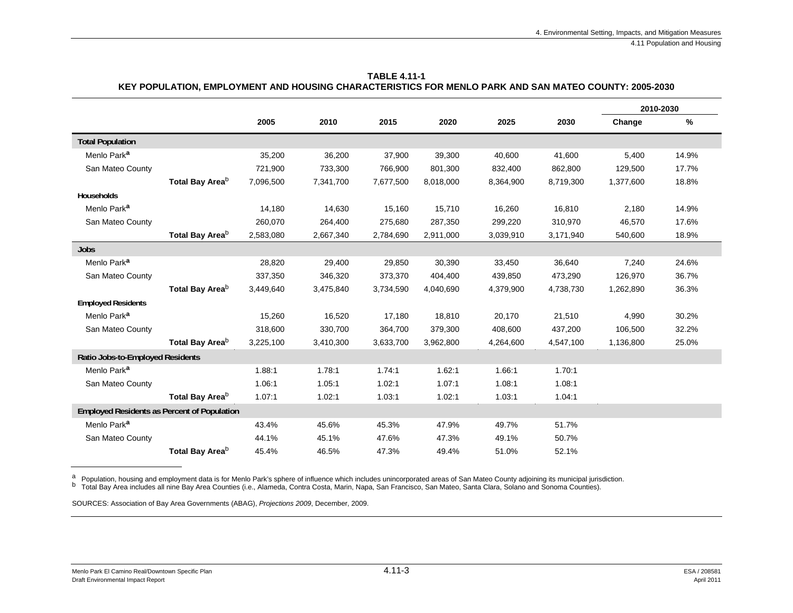|                                                    |                             |           |           |           |           |           |           |           | 2010-2030 |
|----------------------------------------------------|-----------------------------|-----------|-----------|-----------|-----------|-----------|-----------|-----------|-----------|
|                                                    |                             | 2005      | 2010      | 2015      | 2020      | 2025      | 2030      | Change    | $\%$      |
| <b>Total Population</b>                            |                             |           |           |           |           |           |           |           |           |
| Menlo Park <sup>a</sup>                            |                             | 35,200    | 36,200    | 37,900    | 39,300    | 40,600    | 41,600    | 5,400     | 14.9%     |
| San Mateo County                                   |                             | 721,900   | 733,300   | 766,900   | 801,300   | 832,400   | 862,800   | 129,500   | 17.7%     |
|                                                    | Total Bay Area <sup>b</sup> | 7,096,500 | 7,341,700 | 7,677,500 | 8,018,000 | 8,364,900 | 8,719,300 | 1,377,600 | 18.8%     |
| Households                                         |                             |           |           |           |           |           |           |           |           |
| Menlo Park <sup>a</sup>                            |                             | 14,180    | 14,630    | 15,160    | 15,710    | 16,260    | 16,810    | 2,180     | 14.9%     |
| San Mateo County                                   |                             | 260,070   | 264,400   | 275,680   | 287,350   | 299,220   | 310,970   | 46,570    | 17.6%     |
|                                                    | Total Bay Area <sup>b</sup> | 2,583,080 | 2,667,340 | 2,784,690 | 2,911,000 | 3,039,910 | 3,171,940 | 540,600   | 18.9%     |
| <b>Jobs</b>                                        |                             |           |           |           |           |           |           |           |           |
| Menlo Park <sup>a</sup>                            |                             | 28,820    | 29,400    | 29,850    | 30,390    | 33,450    | 36,640    | 7,240     | 24.6%     |
| San Mateo County                                   |                             | 337,350   | 346,320   | 373,370   | 404,400   | 439,850   | 473,290   | 126,970   | 36.7%     |
|                                                    | Total Bay Area <sup>b</sup> | 3,449,640 | 3,475,840 | 3,734,590 | 4,040,690 | 4,379,900 | 4,738,730 | 1,262,890 | 36.3%     |
| <b>Employed Residents</b>                          |                             |           |           |           |           |           |           |           |           |
| Menlo Park <sup>a</sup>                            |                             | 15,260    | 16,520    | 17,180    | 18,810    | 20,170    | 21,510    | 4,990     | 30.2%     |
| San Mateo County                                   |                             | 318,600   | 330,700   | 364,700   | 379,300   | 408,600   | 437,200   | 106,500   | 32.2%     |
|                                                    | Total Bay Area <sup>b</sup> | 3,225,100 | 3,410,300 | 3,633,700 | 3,962,800 | 4,264,600 | 4,547,100 | 1,136,800 | 25.0%     |
| Ratio Jobs-to-Employed Residents                   |                             |           |           |           |           |           |           |           |           |
| Menlo Park <sup>a</sup>                            |                             | 1.88:1    | 1.78:1    | 1.74:1    | 1.62:1    | 1.66:1    | 1.70:1    |           |           |
| San Mateo County                                   |                             | 1.06:1    | 1.05:1    | 1.02:1    | 1.07:1    | 1.08:1    | 1.08:1    |           |           |
|                                                    | Total Bay Area <sup>b</sup> | 1.07:1    | 1.02:1    | 1.03:1    | 1.02:1    | 1.03:1    | 1.04:1    |           |           |
| <b>Employed Residents as Percent of Population</b> |                             |           |           |           |           |           |           |           |           |
| Menlo Park <sup>a</sup>                            |                             | 43.4%     | 45.6%     | 45.3%     | 47.9%     | 49.7%     | 51.7%     |           |           |
| San Mateo County                                   |                             | 44.1%     | 45.1%     | 47.6%     | 47.3%     | 49.1%     | 50.7%     |           |           |
|                                                    | Total Bay Area <sup>b</sup> | 45.4%     | 46.5%     | 47.3%     | 49.4%     | 51.0%     | 52.1%     |           |           |

**TABLE 4.11-1 KEY POPULATION, EMPLOYMENT AND HOUSING CHARACTERISTICS FOR MENLO PARK AND SAN MATEO COUNTY: 2005-2030** 

<sup>a</sup> Population, housing and employment data is for Menlo Park's sphere of influence which includes unincorporated areas of San Mateo County adjoining its municipal jurisdiction.<br><sup>b</sup> Total Bay Area includes all nine Bay Are

SOURCES: Association of Bay Area Governments (ABAG), *Projections 2009*, December, 2009.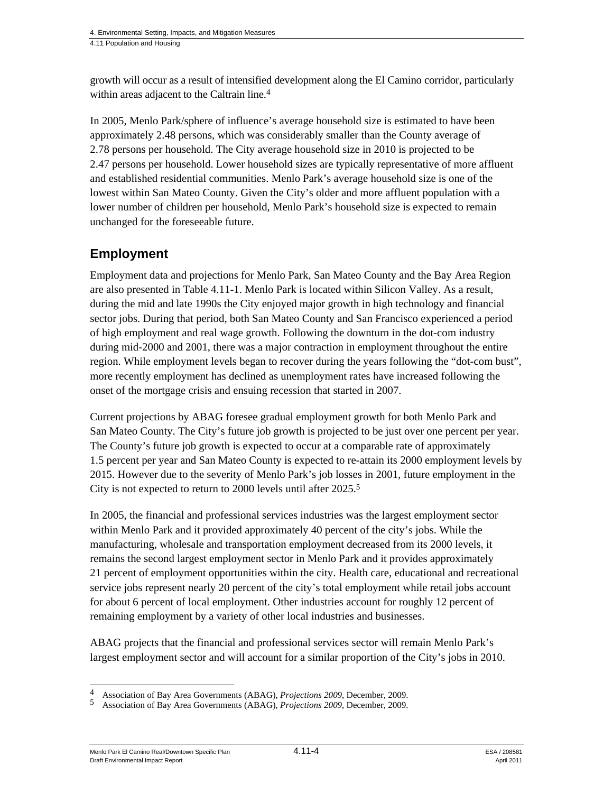growth will occur as a result of intensified development along the El Camino corridor, particularly within areas adjacent to the Caltrain line.<sup>4</sup>

In 2005, Menlo Park/sphere of influence's average household size is estimated to have been approximately 2.48 persons, which was considerably smaller than the County average of 2.78 persons per household. The City average household size in 2010 is projected to be 2.47 persons per household. Lower household sizes are typically representative of more affluent and established residential communities. Menlo Park's average household size is one of the lowest within San Mateo County. Given the City's older and more affluent population with a lower number of children per household, Menlo Park's household size is expected to remain unchanged for the foreseeable future.

### **Employment**

Employment data and projections for Menlo Park, San Mateo County and the Bay Area Region are also presented in Table 4.11-1. Menlo Park is located within Silicon Valley. As a result, during the mid and late 1990s the City enjoyed major growth in high technology and financial sector jobs. During that period, both San Mateo County and San Francisco experienced a period of high employment and real wage growth. Following the downturn in the dot-com industry during mid-2000 and 2001, there was a major contraction in employment throughout the entire region. While employment levels began to recover during the years following the "dot-com bust", more recently employment has declined as unemployment rates have increased following the onset of the mortgage crisis and ensuing recession that started in 2007.

Current projections by ABAG foresee gradual employment growth for both Menlo Park and San Mateo County. The City's future job growth is projected to be just over one percent per year. The County's future job growth is expected to occur at a comparable rate of approximately 1.5 percent per year and San Mateo County is expected to re-attain its 2000 employment levels by 2015. However due to the severity of Menlo Park's job losses in 2001, future employment in the City is not expected to return to 2000 levels until after 2025.5

In 2005, the financial and professional services industries was the largest employment sector within Menlo Park and it provided approximately 40 percent of the city's jobs. While the manufacturing, wholesale and transportation employment decreased from its 2000 levels, it remains the second largest employment sector in Menlo Park and it provides approximately 21 percent of employment opportunities within the city. Health care, educational and recreational service jobs represent nearly 20 percent of the city's total employment while retail jobs account for about 6 percent of local employment. Other industries account for roughly 12 percent of remaining employment by a variety of other local industries and businesses.

ABAG projects that the financial and professional services sector will remain Menlo Park's largest employment sector and will account for a similar proportion of the City's jobs in 2010.

Menlo Park El Camino Real/Downtown Specific Plan 4.11-4 4.11-4 ESA / 208581 Draft Environmental Impact Report April 2011

l 4 Association of Bay Area Governments (ABAG), *Projections 2009*, December, 2009.

<sup>5</sup> Association of Bay Area Governments (ABAG), *Projections 2009*, December, 2009.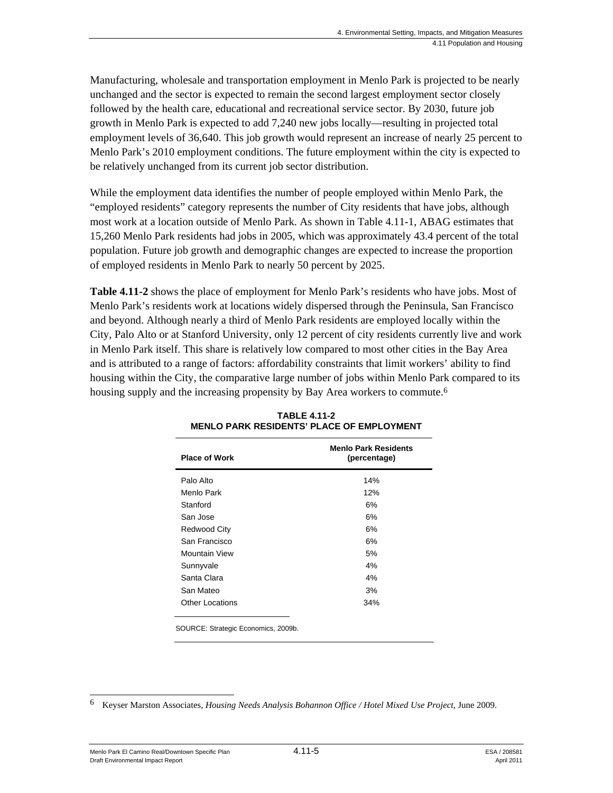Manufacturing, wholesale and transportation employment in Menlo Park is projected to be nearly unchanged and the sector is expected to remain the second largest employment sector closely followed by the health care, educational and recreational service sector. By 2030, future job growth in Menlo Park is expected to add 7,240 new jobs locally—resulting in projected total employment levels of 36,640. This job growth would represent an increase of nearly 25 percent to Menlo Park's 2010 employment conditions. The future employment within the city is expected to be relatively unchanged from its current job sector distribution.

While the employment data identifies the number of people employed within Menlo Park, the "employed residents" category represents the number of City residents that have jobs, although most work at a location outside of Menlo Park. As shown in Table 4.11-1, ABAG estimates that 15,260 Menlo Park residents had jobs in 2005, which was approximately 43.4 percent of the total population. Future job growth and demographic changes are expected to increase the proportion of employed residents in Menlo Park to nearly 50 percent by 2025.

**Table 4.11-2** shows the place of employment for Menlo Park's residents who have jobs. Most of Menlo Park's residents work at locations widely dispersed through the Peninsula, San Francisco and beyond. Although nearly a third of Menlo Park residents are employed locally within the City, Palo Alto or at Stanford University, only 12 percent of city residents currently live and work in Menlo Park itself. This share is relatively low compared to most other cities in the Bay Area and is attributed to a range of factors: affordability constraints that limit workers' ability to find housing within the City, the comparative large number of jobs within Menlo Park compared to its housing supply and the increasing propensity by Bay Area workers to commute.<sup>6</sup>

| <b>Place of Work</b>                | <b>Menlo Park Residents</b><br>(percentage) |
|-------------------------------------|---------------------------------------------|
| Palo Alto                           | 14%                                         |
| Menlo Park                          | 12%                                         |
| Stanford                            | 6%                                          |
| San Jose                            | 6%                                          |
| Redwood City                        | 6%                                          |
| San Francisco                       | 6%                                          |
| Mountain View                       | 5%                                          |
| Sunnyvale                           | 4%                                          |
| Santa Clara                         | 4%                                          |
| San Mateo                           | 3%                                          |
| <b>Other Locations</b>              | 34%                                         |
| SOURCE: Strategic Economics, 2009b. |                                             |

**TABLE 4.11-2 MENLO PARK RESIDENTS' PLACE OF EMPLOYMENT** 

6 6 Keyser Marston Associates, *Housing Needs Analysis Bohannon Office / Hotel Mixed Use Project*, June 2009.

Menlo Park El Camino Real/Downtown Specific Plan 4.11-5 Alexander 4.10-5 Draft Environmental Impact Report April 2011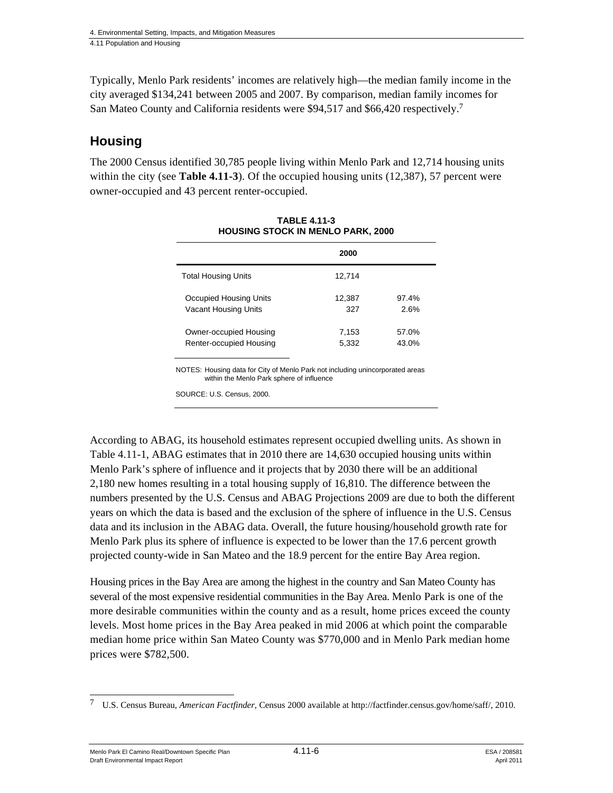Typically, Menlo Park residents' incomes are relatively high—the median family income in the city averaged \$134,241 between 2005 and 2007. By comparison, median family incomes for San Mateo County and California residents were \$94,517 and \$66,420 respectively.7

## **Housing**

The 2000 Census identified 30,785 people living within Menlo Park and 12,714 housing units within the city (see **Table 4.11-3**). Of the occupied housing units (12,387), 57 percent were owner-occupied and 43 percent renter-occupied.

|                            | 2000   |       |
|----------------------------|--------|-------|
| <b>Total Housing Units</b> | 12,714 |       |
| Occupied Housing Units     | 12,387 | 97.4% |
| Vacant Housing Units       | 327    | 2.6%  |
| Owner-occupied Housing     | 7,153  | 57.0% |
| Renter-occupied Housing    | 5.332  | 43.0% |

**TABLE 4.11-3 HOUSING STOCK IN MENLO PARK, 2000** 

NOTES: Housing data for City of Menlo Park not including unincorporated areas within the Menlo Park sphere of influence

SOURCE: U.S. Census, 2000.

According to ABAG, its household estimates represent occupied dwelling units. As shown in Table 4.11-1, ABAG estimates that in 2010 there are 14,630 occupied housing units within Menlo Park's sphere of influence and it projects that by 2030 there will be an additional 2,180 new homes resulting in a total housing supply of 16,810. The difference between the numbers presented by the U.S. Census and ABAG Projections 2009 are due to both the different years on which the data is based and the exclusion of the sphere of influence in the U.S. Census data and its inclusion in the ABAG data. Overall, the future housing/household growth rate for Menlo Park plus its sphere of influence is expected to be lower than the 17.6 percent growth projected county-wide in San Mateo and the 18.9 percent for the entire Bay Area region.

Housing prices in the Bay Area are among the highest in the country and San Mateo County has several of the most expensive residential communities in the Bay Area. Menlo Park is one of the more desirable communities within the county and as a result, home prices exceed the county levels. Most home prices in the Bay Area peaked in mid 2006 at which point the comparable median home price within San Mateo County was \$770,000 and in Menlo Park median home prices were \$782,500.

Menlo Park El Camino Real/Downtown Specific Plan 4.11-6 And 4.11-6 ESA / 208581 Draft Environmental Impact Report April 2011

l 7 U.S. Census Bureau, *American Factfinder*, Census 2000 available at http://factfinder.census.gov/home/saff/, 2010.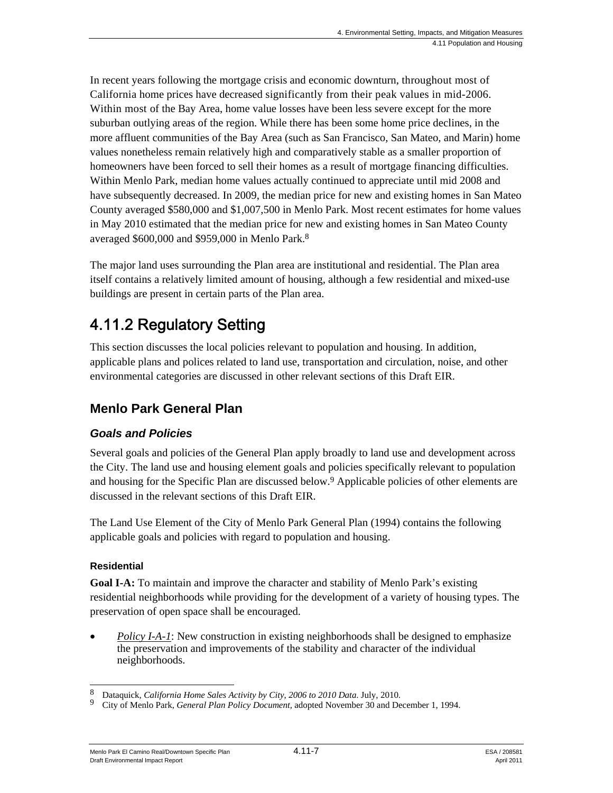In recent years following the mortgage crisis and economic downturn, throughout most of California home prices have decreased significantly from their peak values in mid-2006. Within most of the Bay Area, home value losses have been less severe except for the more suburban outlying areas of the region. While there has been some home price declines, in the more affluent communities of the Bay Area (such as San Francisco, San Mateo, and Marin) home values nonetheless remain relatively high and comparatively stable as a smaller proportion of homeowners have been forced to sell their homes as a result of mortgage financing difficulties. Within Menlo Park, median home values actually continued to appreciate until mid 2008 and have subsequently decreased. In 2009, the median price for new and existing homes in San Mateo County averaged \$580,000 and \$1,007,500 in Menlo Park. Most recent estimates for home values in May 2010 estimated that the median price for new and existing homes in San Mateo County averaged \$600,000 and \$959,000 in Menlo Park.8

The major land uses surrounding the Plan area are institutional and residential. The Plan area itself contains a relatively limited amount of housing, although a few residential and mixed-use buildings are present in certain parts of the Plan area.

# 4.11.2 Regulatory Setting

This section discusses the local policies relevant to population and housing. In addition, applicable plans and polices related to land use, transportation and circulation, noise, and other environmental categories are discussed in other relevant sections of this Draft EIR.

# **Menlo Park General Plan**

### *Goals and Policies*

Several goals and policies of the General Plan apply broadly to land use and development across the City. The land use and housing element goals and policies specifically relevant to population and housing for the Specific Plan are discussed below.<sup>9</sup> Applicable policies of other elements are discussed in the relevant sections of this Draft EIR.

The Land Use Element of the City of Menlo Park General Plan (1994) contains the following applicable goals and policies with regard to population and housing.

#### **Residential**

**Goal I-A:** To maintain and improve the character and stability of Menlo Park's existing residential neighborhoods while providing for the development of a variety of housing types. The preservation of open space shall be encouraged.

*Policy I-A-1*: New construction in existing neighborhoods shall be designed to emphasize the preservation and improvements of the stability and character of the individual neighborhoods.

Menlo Park El Camino Real/Downtown Specific Plan 4.11-7 4.11-7 ESA / 208581 Draft Environmental Impact Report April 2011

l

Bataquick, *California Home Sales Activity by City*, *2006 to 2010 Data*. July, 2010. City of Menlo Park, *General Plan Policy Document*, adopted November 30 and December 1, 1994.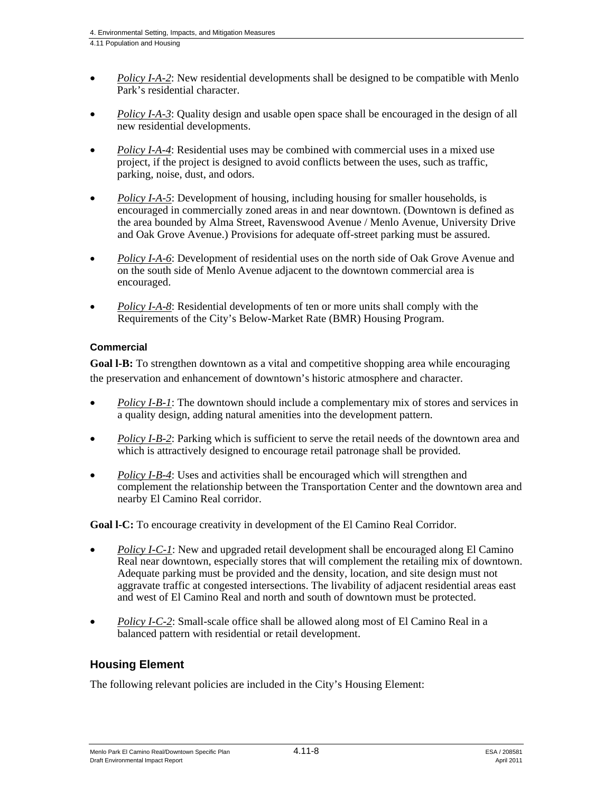- *Policy I-A-2*: New residential developments shall be designed to be compatible with Menlo Park's residential character.
- *Policy I-A-3*: Quality design and usable open space shall be encouraged in the design of all new residential developments.
- *Policy I-A-4*: Residential uses may be combined with commercial uses in a mixed use project, if the project is designed to avoid conflicts between the uses, such as traffic, parking, noise, dust, and odors.
- *Policy I-A-5*: Development of housing, including housing for smaller households, is encouraged in commercially zoned areas in and near downtown. (Downtown is defined as the area bounded by Alma Street, Ravenswood Avenue / Menlo Avenue, University Drive and Oak Grove Avenue.) Provisions for adequate off-street parking must be assured.
- *Policy I-A-6*: Development of residential uses on the north side of Oak Grove Avenue and on the south side of Menlo Avenue adjacent to the downtown commercial area is encouraged.
- *Policy I-A-8*: Residential developments of ten or more units shall comply with the Requirements of the City's Below-Market Rate (BMR) Housing Program.

#### **Commercial**

**Goal l-B:** To strengthen downtown as a vital and competitive shopping area while encouraging the preservation and enhancement of downtown's historic atmosphere and character.

- *Policy I-B-1*: The downtown should include a complementary mix of stores and services in a quality design, adding natural amenities into the development pattern.
- *Policy I-B-2*: Parking which is sufficient to serve the retail needs of the downtown area and which is attractively designed to encourage retail patronage shall be provided.
- *Policy I-B-4*: Uses and activities shall be encouraged which will strengthen and complement the relationship between the Transportation Center and the downtown area and nearby El Camino Real corridor.

**Goal l-C:** To encourage creativity in development of the El Camino Real Corridor.

- *Policy I-C-1*: New and upgraded retail development shall be encouraged along El Camino Real near downtown, especially stores that will complement the retailing mix of downtown. Adequate parking must be provided and the density, location, and site design must not aggravate traffic at congested intersections. The livability of adjacent residential areas east and west of El Camino Real and north and south of downtown must be protected.
- *Policy I-C-2*: Small-scale office shall be allowed along most of El Camino Real in a balanced pattern with residential or retail development.

### **Housing Element**

The following relevant policies are included in the City's Housing Element: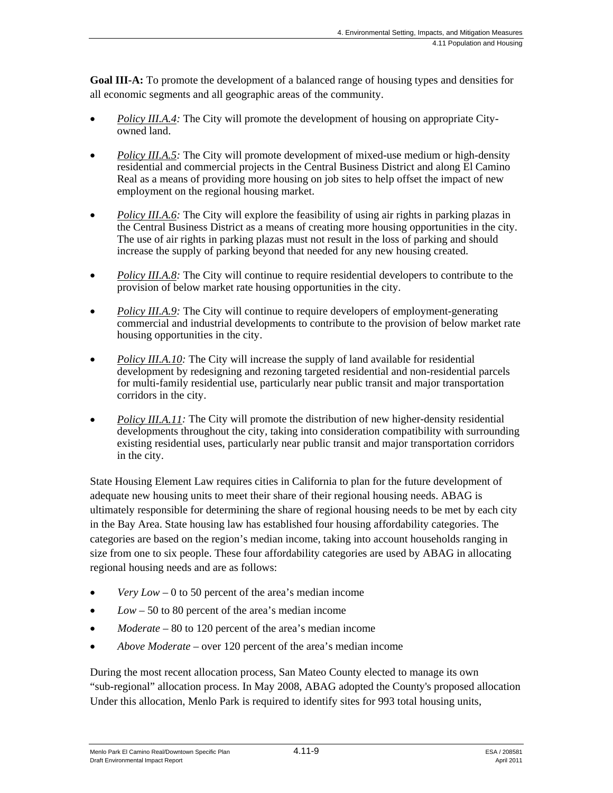**Goal III-A:** To promote the development of a balanced range of housing types and densities for all economic segments and all geographic areas of the community.

- *Policy III.A.4:* The City will promote the development of housing on appropriate Cityowned land.
- *Policy III.A.5:* The City will promote development of mixed-use medium or high-density residential and commercial projects in the Central Business District and along El Camino Real as a means of providing more housing on job sites to help offset the impact of new employment on the regional housing market.
- *Policy III.A.6:* The City will explore the feasibility of using air rights in parking plazas in the Central Business District as a means of creating more housing opportunities in the city. The use of air rights in parking plazas must not result in the loss of parking and should increase the supply of parking beyond that needed for any new housing created.
- *Policy III.A.8:* The City will continue to require residential developers to contribute to the provision of below market rate housing opportunities in the city.
- *Policy III.A.9:* The City will continue to require developers of employment-generating commercial and industrial developments to contribute to the provision of below market rate housing opportunities in the city.
- *Policy III.A.10:* The City will increase the supply of land available for residential development by redesigning and rezoning targeted residential and non-residential parcels for multi-family residential use, particularly near public transit and major transportation corridors in the city.
- *Policy III.A.11:* The City will promote the distribution of new higher-density residential developments throughout the city, taking into consideration compatibility with surrounding existing residential uses, particularly near public transit and major transportation corridors in the city.

State Housing Element Law requires cities in California to plan for the future development of adequate new housing units to meet their share of their regional housing needs. ABAG is ultimately responsible for determining the share of regional housing needs to be met by each city in the Bay Area. State housing law has established four housing affordability categories. The categories are based on the region's median income, taking into account households ranging in size from one to six people. These four affordability categories are used by ABAG in allocating regional housing needs and are as follows:

- *Very Low* 0 to 50 percent of the area's median income
- *Low* 50 to 80 percent of the area's median income
- *Moderate* 80 to 120 percent of the area's median income
- *Above Moderate* over 120 percent of the area's median income

During the most recent allocation process, San Mateo County elected to manage its own "sub-regional" allocation process. In May 2008, ABAG adopted the County's proposed allocation Under this allocation, Menlo Park is required to identify sites for 993 total housing units,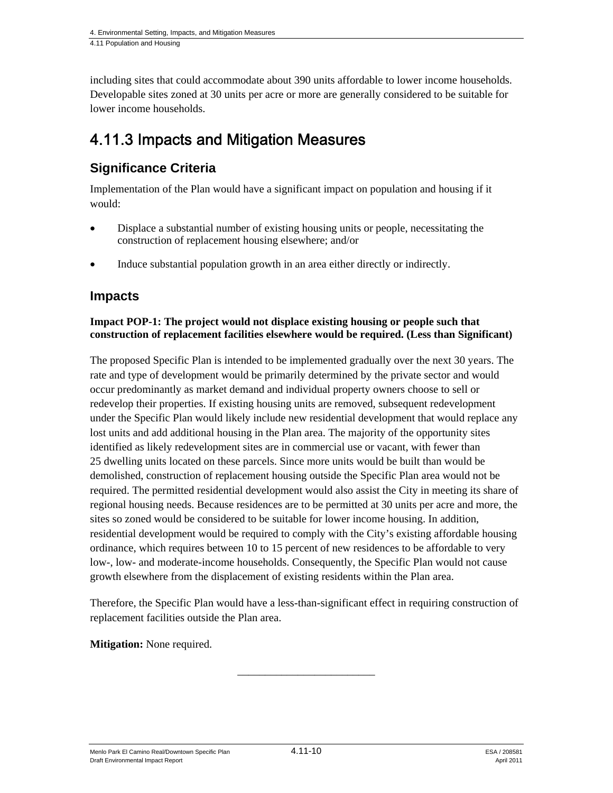including sites that could accommodate about 390 units affordable to lower income households. Developable sites zoned at 30 units per acre or more are generally considered to be suitable for lower income households.

# 4.11.3 Impacts and Mitigation Measures

# **Significance Criteria**

Implementation of the Plan would have a significant impact on population and housing if it would:

- Displace a substantial number of existing housing units or people, necessitating the construction of replacement housing elsewhere; and/or
- Induce substantial population growth in an area either directly or indirectly.

### **Impacts**

#### **Impact POP-1: The project would not displace existing housing or people such that construction of replacement facilities elsewhere would be required. (Less than Significant)**

The proposed Specific Plan is intended to be implemented gradually over the next 30 years. The rate and type of development would be primarily determined by the private sector and would occur predominantly as market demand and individual property owners choose to sell or redevelop their properties. If existing housing units are removed, subsequent redevelopment under the Specific Plan would likely include new residential development that would replace any lost units and add additional housing in the Plan area. The majority of the opportunity sites identified as likely redevelopment sites are in commercial use or vacant, with fewer than 25 dwelling units located on these parcels. Since more units would be built than would be demolished, construction of replacement housing outside the Specific Plan area would not be required. The permitted residential development would also assist the City in meeting its share of regional housing needs. Because residences are to be permitted at 30 units per acre and more, the sites so zoned would be considered to be suitable for lower income housing. In addition, residential development would be required to comply with the City's existing affordable housing ordinance, which requires between 10 to 15 percent of new residences to be affordable to very low-, low- and moderate-income households. Consequently, the Specific Plan would not cause growth elsewhere from the displacement of existing residents within the Plan area.

Therefore, the Specific Plan would have a less-than-significant effect in requiring construction of replacement facilities outside the Plan area.

\_\_\_\_\_\_\_\_\_\_\_\_\_\_\_\_\_\_\_\_\_\_\_\_\_

**Mitigation:** None required.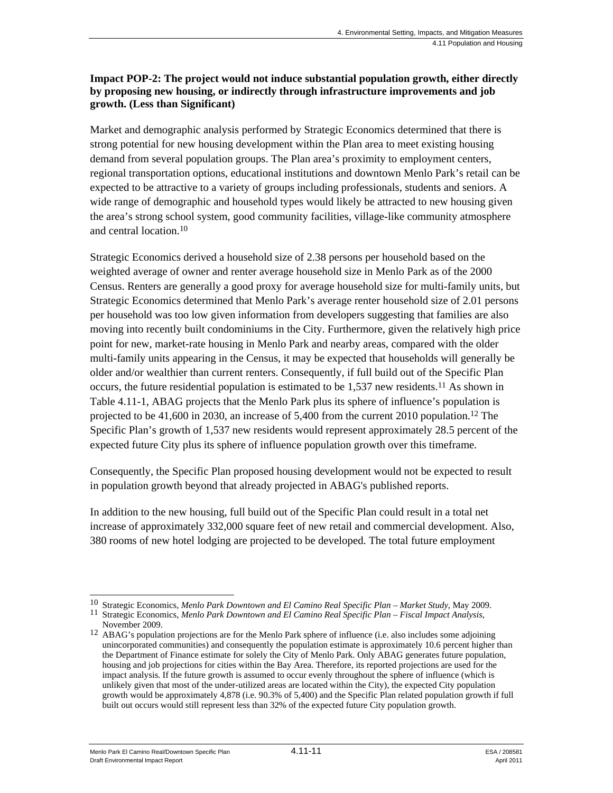#### **Impact POP-2: The project would not induce substantial population growth, either directly by proposing new housing, or indirectly through infrastructure improvements and job growth. (Less than Significant)**

Market and demographic analysis performed by Strategic Economics determined that there is strong potential for new housing development within the Plan area to meet existing housing demand from several population groups. The Plan area's proximity to employment centers, regional transportation options, educational institutions and downtown Menlo Park's retail can be expected to be attractive to a variety of groups including professionals, students and seniors. A wide range of demographic and household types would likely be attracted to new housing given the area's strong school system, good community facilities, village-like community atmosphere and central location.10

Strategic Economics derived a household size of 2.38 persons per household based on the weighted average of owner and renter average household size in Menlo Park as of the 2000 Census. Renters are generally a good proxy for average household size for multi-family units, but Strategic Economics determined that Menlo Park's average renter household size of 2.01 persons per household was too low given information from developers suggesting that families are also moving into recently built condominiums in the City. Furthermore, given the relatively high price point for new, market-rate housing in Menlo Park and nearby areas, compared with the older multi-family units appearing in the Census, it may be expected that households will generally be older and/or wealthier than current renters. Consequently, if full build out of the Specific Plan occurs, the future residential population is estimated to be  $1,537$  new residents.<sup>11</sup> As shown in Table 4.11-1, ABAG projects that the Menlo Park plus its sphere of influence's population is projected to be 41,600 in 2030, an increase of 5,400 from the current 2010 population.<sup>12</sup> The Specific Plan's growth of 1,537 new residents would represent approximately 28.5 percent of the expected future City plus its sphere of influence population growth over this timeframe.

Consequently, the Specific Plan proposed housing development would not be expected to result in population growth beyond that already projected in ABAG's published reports.

In addition to the new housing, full build out of the Specific Plan could result in a total net increase of approximately 332,000 square feet of new retail and commercial development. Also, 380 rooms of new hotel lodging are projected to be developed. The total future employment

Menlo Park El Camino Real/Downtown Specific Plan  $4.11$ -11 ESA / 208581 Draft Environmental Impact Report April 2011

l

<sup>10</sup> Strategic Economics, *Menlo Park Downtown and El Camino Real Specific Plan – Market Study*, May 2009. 11 Strategic Economics, *Menlo Park Downtown and El Camino Real Specific Plan – Fiscal Impact Analysis*,

November 2009.

<sup>&</sup>lt;sup>12</sup> ABAG's population projections are for the Menlo Park sphere of influence (i.e. also includes some adjoining unincorporated communities) and consequently the population estimate is approximately 10.6 percent higher than the Department of Finance estimate for solely the City of Menlo Park. Only ABAG generates future population, housing and job projections for cities within the Bay Area. Therefore, its reported projections are used for the impact analysis. If the future growth is assumed to occur evenly throughout the sphere of influence (which is unlikely given that most of the under-utilized areas are located within the City), the expected City population growth would be approximately 4,878 (i.e. 90.3% of 5,400) and the Specific Plan related population growth if full built out occurs would still represent less than 32% of the expected future City population growth.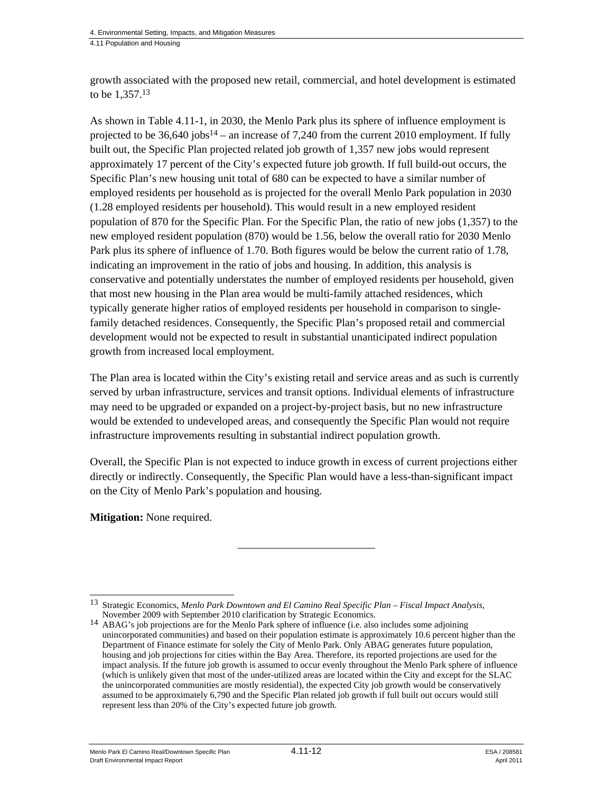growth associated with the proposed new retail, commercial, and hotel development is estimated to be 1,357.13

As shown in Table 4.11-1, in 2030, the Menlo Park plus its sphere of influence employment is projected to be  $36,640$  jobs<sup>14</sup> – an increase of 7,240 from the current 2010 employment. If fully built out, the Specific Plan projected related job growth of 1,357 new jobs would represent approximately 17 percent of the City's expected future job growth. If full build-out occurs, the Specific Plan's new housing unit total of 680 can be expected to have a similar number of employed residents per household as is projected for the overall Menlo Park population in 2030 (1.28 employed residents per household). This would result in a new employed resident population of 870 for the Specific Plan. For the Specific Plan, the ratio of new jobs (1,357) to the new employed resident population (870) would be 1.56, below the overall ratio for 2030 Menlo Park plus its sphere of influence of 1.70. Both figures would be below the current ratio of 1.78, indicating an improvement in the ratio of jobs and housing. In addition, this analysis is conservative and potentially understates the number of employed residents per household, given that most new housing in the Plan area would be multi-family attached residences, which typically generate higher ratios of employed residents per household in comparison to singlefamily detached residences. Consequently, the Specific Plan's proposed retail and commercial development would not be expected to result in substantial unanticipated indirect population growth from increased local employment.

The Plan area is located within the City's existing retail and service areas and as such is currently served by urban infrastructure, services and transit options. Individual elements of infrastructure may need to be upgraded or expanded on a project-by-project basis, but no new infrastructure would be extended to undeveloped areas, and consequently the Specific Plan would not require infrastructure improvements resulting in substantial indirect population growth.

Overall, the Specific Plan is not expected to induce growth in excess of current projections either directly or indirectly. Consequently, the Specific Plan would have a less-than-significant impact on the City of Menlo Park's population and housing.

\_\_\_\_\_\_\_\_\_\_\_\_\_\_\_\_\_\_\_\_\_\_\_\_\_

**Mitigation:** None required.

l 13 Strategic Economics, *Menlo Park Downtown and El Camino Real Specific Plan – Fiscal Impact Analysis*,

November 2009 with September 2010 clarification by Strategic Economics. 14 ABAG's job projections are for the Menlo Park sphere of influence (i.e. also includes some adjoining unincorporated communities) and based on their population estimate is approximately 10.6 percent higher than the Department of Finance estimate for solely the City of Menlo Park. Only ABAG generates future population, housing and job projections for cities within the Bay Area. Therefore, its reported projections are used for the impact analysis. If the future job growth is assumed to occur evenly throughout the Menlo Park sphere of influence (which is unlikely given that most of the under-utilized areas are located within the City and except for the SLAC the unincorporated communities are mostly residential), the expected City job growth would be conservatively assumed to be approximately 6,790 and the Specific Plan related job growth if full built out occurs would still represent less than 20% of the City's expected future job growth.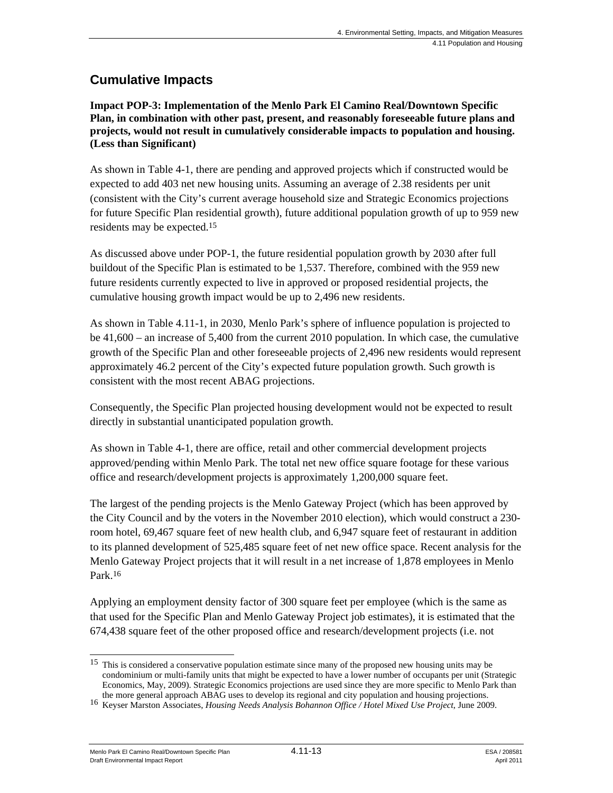# **Cumulative Impacts**

**Impact POP-3: Implementation of the Menlo Park El Camino Real/Downtown Specific Plan, in combination with other past, present, and reasonably foreseeable future plans and projects, would not result in cumulatively considerable impacts to population and housing. (Less than Significant)** 

As shown in Table 4-1, there are pending and approved projects which if constructed would be expected to add 403 net new housing units. Assuming an average of 2.38 residents per unit (consistent with the City's current average household size and Strategic Economics projections for future Specific Plan residential growth), future additional population growth of up to 959 new residents may be expected.15

As discussed above under POP-1, the future residential population growth by 2030 after full buildout of the Specific Plan is estimated to be 1,537. Therefore, combined with the 959 new future residents currently expected to live in approved or proposed residential projects, the cumulative housing growth impact would be up to 2,496 new residents.

As shown in Table 4.11-1, in 2030, Menlo Park's sphere of influence population is projected to be 41,600 – an increase of 5,400 from the current 2010 population. In which case, the cumulative growth of the Specific Plan and other foreseeable projects of 2,496 new residents would represent approximately 46.2 percent of the City's expected future population growth. Such growth is consistent with the most recent ABAG projections.

Consequently, the Specific Plan projected housing development would not be expected to result directly in substantial unanticipated population growth.

As shown in Table 4-1, there are office, retail and other commercial development projects approved/pending within Menlo Park. The total net new office square footage for these various office and research/development projects is approximately 1,200,000 square feet.

The largest of the pending projects is the Menlo Gateway Project (which has been approved by the City Council and by the voters in the November 2010 election), which would construct a 230 room hotel, 69,467 square feet of new health club, and 6,947 square feet of restaurant in addition to its planned development of 525,485 square feet of net new office space. Recent analysis for the Menlo Gateway Project projects that it will result in a net increase of 1,878 employees in Menlo Park.16

Applying an employment density factor of 300 square feet per employee (which is the same as that used for the Specific Plan and Menlo Gateway Project job estimates), it is estimated that the 674,438 square feet of the other proposed office and research/development projects (i.e. not

Menlo Park El Camino Real/Downtown Specific Plan  $4.11$ -13  $\overline{a}$  ESA / 208581 Draft Environmental Impact Report April 2011

<sup>1</sup> 15 This is considered a conservative population estimate since many of the proposed new housing units may be condominium or multi-family units that might be expected to have a lower number of occupants per unit (Strategic Economics, May, 2009). Strategic Economics projections are used since they are more specific to Menlo Park than

the more general approach ABAG uses to develop its regional and city population and housing projections. 16 Keyser Marston Associates, *Housing Needs Analysis Bohannon Office / Hotel Mixed Use Project*, June 2009.